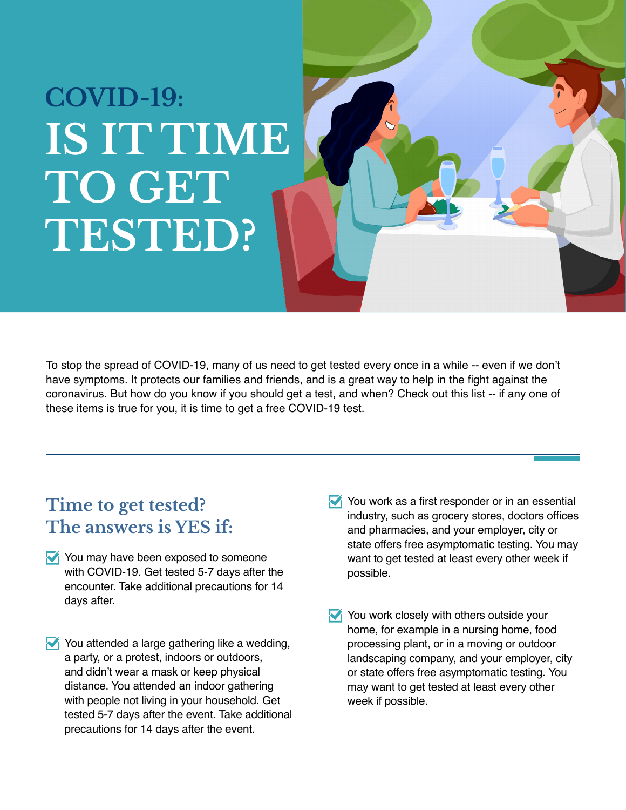## **COVID-19: IS IT TIME TO GET TESTED?**

To stop the spread of COVID-19, many of us need to get tested every once in a while -- even if we don't have symptoms. It protects our families and friends, and is a great way to help in the fight against the coronavirus. But how do you know if you should get a test, and when? Check out this list -- if any one of these items is true for you, it is time to get a free COVID-19 test.

## **Time to get tested? The answers is YES if:**

- You may have been exposed to someone with COVID-19. Get tested 5-7 days after the encounter. Take additional precautions for 14 days after.
- You attended a large gathering like a wedding, a party, or a protest, indoors or outdoors, and didn't wear a mask or keep physical distance. You attended an indoor gathering with people not living in your household. Get tested 5-7 days after the event. Take additional precautions for 14 days after the event.
- You work as a first responder or in an essential industry, such as grocery stores, doctors offices and pharmacies, and your employer, city or state offers free asymptomatic testing. You may want to get tested at least every other week if possible.
- You work closely with others outside your home, for example in a nursing home, food processing plant, or in a moving or outdoor landscaping company, and your employer, city or state offers free asymptomatic testing. You may want to get tested at least every other week if possible.